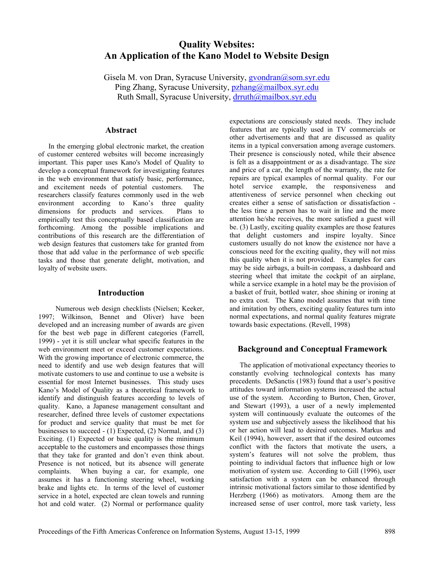# **Quality Websites: An Application of the Kano Model to Website Design**

Gisela M. von Dran, Syracuse University, [gvondran@som.syr.edu](mailto:gvondran@som.syr.edu) Ping Zhang, Syracuse University, [pzhang@mailbox.syr.edu](mailto:pzhang@mailbox.syr.edu) Ruth Small, Syracuse University, [drruth@mailbox.syr.edu](mailto:drruth@mailbox.syr.edu)

## **Abstract**

In the emerging global electronic market, the creation of customer centered websites will become increasingly important. This paper uses Kano's Model of Quality to develop a conceptual framework for investigating features in the web environment that satisfy basic, performance, and excitement needs of potential customers. The researchers classify features commonly used in the web environment according to Kano's three quality dimensions for products and services. Plans to empirically test this conceptually based classification are forthcoming. Among the possible implications and contributions of this research are the differentiation of web design features that customers take for granted from those that add value in the performance of web specific tasks and those that generate delight, motivation, and loyalty of website users.

## **Introduction**

 Numerous web design checklists (Nielsen; Keeker, 1997; Wilkinson, Bennet and Oliver) have been developed and an increasing number of awards are given for the best web page in different categories (Farrell, 1999) - yet it is still unclear what specific features in the web environment meet or exceed customer expectations. With the growing importance of electronic commerce, the need to identify and use web design features that will motivate customers to use and continue to use a website is essential for most Internet businesses. This study uses Kano's Model of Quality as a theoretical framework to identify and distinguish features according to levels of quality. Kano, a Japanese management consultant and researcher, defined three levels of customer expectations for product and service quality that must be met for businesses to succeed - (1) Expected, (2) Normal, and (3) Exciting. (1) Expected or basic quality is the minimum acceptable to the customers and encompasses those things that they take for granted and don't even think about. Presence is not noticed, but its absence will generate complaints. When buying a car, for example, one assumes it has a functioning steering wheel, working brake and lights etc. In terms of the level of customer service in a hotel, expected are clean towels and running hot and cold water. (2) Normal or performance quality

expectations are consciously stated needs. They include features that are typically used in TV commercials or other advertisements and that are discussed as quality items in a typical conversation among average customers. Their presence is consciously noted, while their absence is felt as a disappointment or as a disadvantage. The size and price of a car, the length of the warranty, the rate for repairs are typical examples of normal quality. For our hotel service example, the responsiveness and attentiveness of service personnel when checking out creates either a sense of satisfaction or dissatisfaction the less time a person has to wait in line and the more attention he/she receives, the more satisfied a guest will be. (3) Lastly, exciting quality examples are those features that delight customers and inspire loyalty. Since customers usually do not know the existence nor have a conscious need for the exciting quality, they will not miss this quality when it is not provided. Examples for cars may be side airbags, a built-in compass, a dashboard and steering wheel that imitate the cockpit of an airplane, while a service example in a hotel may be the provision of a basket of fruit, bottled water, shoe shining or ironing at no extra cost. The Kano model assumes that with time and imitation by others, exciting quality features turn into normal expectations, and normal quality features migrate towards basic expectations. (Revell, 1998)

### **Background and Conceptual Framework**

The application of motivational expectancy theories to constantly evolving technological contexts has many precedents. DeSanctis (1983) found that a user's positive attitudes toward information systems increased the actual use of the system. According to Burton, Chen, Grover, and Stewart (1993), a user of a newly implemented system will continuously evaluate the outcomes of the system use and subjectively assess the likelihood that his or her action will lead to desired outcomes. Markus and Keil (1994), however, assert that if the desired outcomes conflict with the factors that motivate the users, a system's features will not solve the problem, thus pointing to individual factors that influence high or low motivation of system use. According to Gill (1996), user satisfaction with a system can be enhanced through intrinsic motivational factors similar to those identified by Herzberg (1966) as motivators. Among them are the increased sense of user control, more task variety, less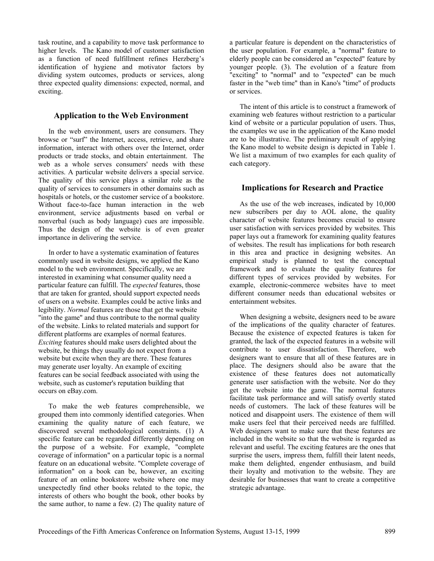task routine, and a capability to move task performance to higher levels. The Kano model of customer satisfaction as a function of need fulfillment refines Herzberg's identification of hygiene and motivator factors by dividing system outcomes, products or services, along three expected quality dimensions: expected, normal, and exciting.

#### **Application to the Web Environment**

In the web environment, users are consumers. They browse or "surf" the Internet, access, retrieve, and share information, interact with others over the Internet, order products or trade stocks, and obtain entertainment. The web as a whole serves consumers' needs with these activities. A particular website delivers a special service. The quality of this service plays a similar role as the quality of services to consumers in other domains such as hospitals or hotels, or the customer service of a bookstore. Without face-to-face human interaction in the web environment, service adjustments based on verbal or nonverbal (such as body language) cues are impossible. Thus the design of the website is of even greater importance in delivering the service.

In order to have a systematic examination of features commonly used in website designs, we applied the Kano model to the web environment. Specifically, we are interested in examining what consumer quality need a particular feature can fulfill. The *expected* features, those that are taken for granted, should support expected needs of users on a website. Examples could be active links and legibility. *Normal* features are those that get the website "into the game" and thus contribute to the normal quality of the website. Links to related materials and support for different platforms are examples of normal features. *Exciting* features should make users delighted about the website, be things they usually do not expect from a website but excite when they are there. These features may generate user loyalty. An example of exciting features can be social feedback associated with using the website, such as customer's reputation building that occurs on eBay.com.

To make the web features comprehensible, we grouped them into commonly identified categories. When examining the quality nature of each feature, we discovered several methodological constraints. (1) A specific feature can be regarded differently depending on the purpose of a website. For example, "complete coverage of information" on a particular topic is a normal feature on an educational website. "Complete coverage of information" on a book can be, however, an exciting feature of an online bookstore website where one may unexpectedly find other books related to the topic, the interests of others who bought the book, other books by the same author, to name a few. (2) The quality nature of a particular feature is dependent on the characteristics of the user population. For example, a "normal" feature to elderly people can be considered an "expected" feature by younger people. (3). The evolution of a feature from "exciting" to "normal" and to "expected" can be much faster in the "web time" than in Kano's "time" of products or services.

The intent of this article is to construct a framework of examining web features without restriction to a particular kind of website or a particular population of users. Thus, the examples we use in the application of the Kano model are to be illustrative. The preliminary result of applying the Kano model to website design is depicted in Table 1. We list a maximum of two examples for each quality of each category.

### **Implications for Research and Practice**

As the use of the web increases, indicated by 10,000 new subscribers per day to AOL alone, the quality character of website features becomes crucial to ensure user satisfaction with services provided by websites. This paper lays out a framework for examining quality features of websites. The result has implications for both research in this area and practice in designing websites. An empirical study is planned to test the conceptual framework and to evaluate the quality features for different types of services provided by websites. For example, electronic-commerce websites have to meet different consumer needs than educational websites or entertainment websites.

When designing a website, designers need to be aware of the implications of the quality character of features. Because the existence of expected features is taken for granted, the lack of the expected features in a website will contribute to user dissatisfaction. Therefore, web designers want to ensure that all of these features are in place. The designers should also be aware that the existence of these features does not automatically generate user satisfaction with the website. Nor do they get the website into the game. The normal features facilitate task performance and will satisfy overtly stated needs of customers. The lack of these features will be noticed and disappoint users. The existence of them will make users feel that their perceived needs are fulfilled. Web designers want to make sure that these features are included in the website so that the website is regarded as relevant and useful. The exciting features are the ones that surprise the users, impress them, fulfill their latent needs, make them delighted, engender enthusiasm, and build their loyalty and motivation to the website. They are desirable for businesses that want to create a competitive strategic advantage.